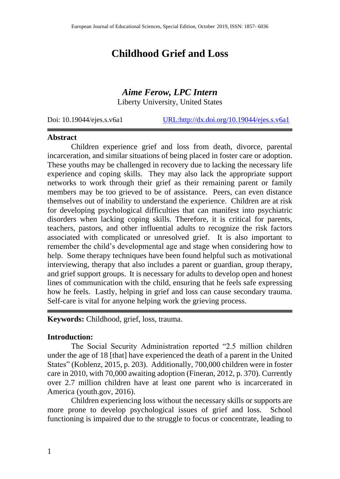# **Childhood Grief and Loss**

# *Aime Ferow, LPC Intern*

Liberty University, United States

Doi: 10.19044/ejes.s.v6a1 [URL:http://dx.doi.org/10.19044/ejes.s.v6a1](http://dx.doi.org/10.19044/ejes.s.v6a1)

#### **Abstract**

Children experience grief and loss from death, divorce, parental incarceration, and similar situations of being placed in foster care or adoption. These youths may be challenged in recovery due to lacking the necessary life experience and coping skills. They may also lack the appropriate support networks to work through their grief as their remaining parent or family members may be too grieved to be of assistance. Peers, can even distance themselves out of inability to understand the experience. Children are at risk for developing psychological difficulties that can manifest into psychiatric disorders when lacking coping skills. Therefore, it is critical for parents, teachers, pastors, and other influential adults to recognize the risk factors associated with complicated or unresolved grief. It is also important to remember the child's developmental age and stage when considering how to help. Some therapy techniques have been found helpful such as motivational interviewing, therapy that also includes a parent or guardian, group therapy, and grief support groups. It is necessary for adults to develop open and honest lines of communication with the child, ensuring that he feels safe expressing how he feels. Lastly, helping in grief and loss can cause secondary trauma. Self-care is vital for anyone helping work the grieving process.

**Keywords:** Childhood, grief, loss, trauma.

## **Introduction:**

The Social Security Administration reported "2.5 million children under the age of 18 [that] have experienced the death of a parent in the United States" (Koblenz, 2015, p. 203). Additionally, 700,000 children were in foster care in 2010, with 70,000 awaiting adoption (Fineran, 2012, p. 370). Currently over 2.7 million children have at least one parent who is incarcerated in America (youth.gov, 2016).

Children experiencing loss without the necessary skills or supports are more prone to develop psychological issues of grief and loss. School functioning is impaired due to the struggle to focus or concentrate, leading to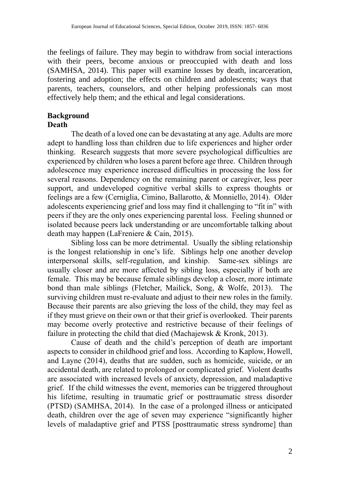the feelings of failure. They may begin to withdraw from social interactions with their peers, become anxious or preoccupied with death and loss (SAMHSA, 2014). This paper will examine losses by death, incarceration, fostering and adoption; the effects on children and adolescents; ways that parents, teachers, counselors, and other helping professionals can most effectively help them; and the ethical and legal considerations.

#### **Background Death**

The death of a loved one can be devastating at any age. Adults are more adept to handling loss than children due to life experiences and higher order thinking. Research suggests that more severe psychological difficulties are experienced by children who loses a parent before age three. Children through adolescence may experience increased difficulties in processing the loss for several reasons. Dependency on the remaining parent or caregiver, less peer support, and undeveloped cognitive verbal skills to express thoughts or feelings are a few (Cerniglia, Cimino, Ballarotto, & Monniello, 2014). Older adolescents experiencing grief and loss may find it challenging to "fit in" with peers if they are the only ones experiencing parental loss. Feeling shunned or isolated because peers lack understanding or are uncomfortable talking about death may happen (LaFreniere & Cain, 2015).

Sibling loss can be more detrimental. Usually the sibling relationship is the longest relationship in one's life. Siblings help one another develop interpersonal skills, self-regulation, and kinship. Same-sex siblings are usually closer and are more affected by sibling loss, especially if both are female. This may be because female siblings develop a closer, more intimate bond than male siblings (Fletcher, Mailick, Song, & Wolfe, 2013). The surviving children must re-evaluate and adjust to their new roles in the family. Because their parents are also grieving the loss of the child, they may feel as if they must grieve on their own or that their grief is overlooked. Their parents may become overly protective and restrictive because of their feelings of failure in protecting the child that died (Machajewsk & Kronk, 2013).

Cause of death and the child's perception of death are important aspects to consider in childhood grief and loss. According to Kaplow, Howell, and Layne (2014), deaths that are sudden, such as homicide, suicide, or an accidental death, are related to prolonged or complicated grief. Violent deaths are associated with increased levels of anxiety, depression, and maladaptive grief. If the child witnesses the event, memories can be triggered throughout his lifetime, resulting in traumatic grief or posttraumatic stress disorder (PTSD) (SAMHSA, 2014). In the case of a prolonged illness or anticipated death, children over the age of seven may experience "significantly higher levels of maladaptive grief and PTSS [posttraumatic stress syndrome] than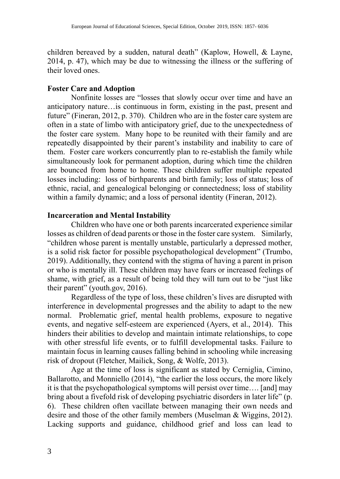children bereaved by a sudden, natural death" (Kaplow, Howell, & Layne, 2014, p. 47), which may be due to witnessing the illness or the suffering of their loved ones.

# **Foster Care and Adoption**

Nonfinite losses are "losses that slowly occur over time and have an anticipatory nature…is continuous in form, existing in the past, present and future" (Fineran, 2012, p. 370). Children who are in the foster care system are often in a state of limbo with anticipatory grief, due to the unexpectedness of the foster care system. Many hope to be reunited with their family and are repeatedly disappointed by their parent's instability and inability to care of them. Foster care workers concurrently plan to re-establish the family while simultaneously look for permanent adoption, during which time the children are bounced from home to home. These children suffer multiple repeated losses including: loss of birthparents and birth family; loss of status; loss of ethnic, racial, and genealogical belonging or connectedness; loss of stability within a family dynamic; and a loss of personal identity (Fineran, 2012).

#### **Incarceration and Mental Instability**

Children who have one or both parents incarcerated experience similar losses as children of dead parents or those in the foster care system. Similarly, "children whose parent is mentally unstable, particularly a depressed mother, is a solid risk factor for possible psychopathological development" (Trumbo, 2019). Additionally, they contend with the stigma of having a parent in prison or who is mentally ill. These children may have fears or increased feelings of shame, with grief, as a result of being told they will turn out to be "just like their parent" (youth.gov, 2016).

Regardless of the type of loss, these children's lives are disrupted with interference in developmental progresses and the ability to adapt to the new normal. Problematic grief, mental health problems, exposure to negative events, and negative self-esteem are experienced (Ayers, et al., 2014). This hinders their abilities to develop and maintain intimate relationships, to cope with other stressful life events, or to fulfill developmental tasks. Failure to maintain focus in learning causes falling behind in schooling while increasing risk of dropout (Fletcher, Mailick, Song, & Wolfe, 2013).

Age at the time of loss is significant as stated by Cerniglia, Cimino, Ballarotto, and Monniello (2014), "the earlier the loss occurs, the more likely it is that the psychopathological symptoms will persist over time…. [and] may bring about a fivefold risk of developing psychiatric disorders in later life" (p. 6). These children often vacillate between managing their own needs and desire and those of the other family members (Muselman & Wiggins, 2012). Lacking supports and guidance, childhood grief and loss can lead to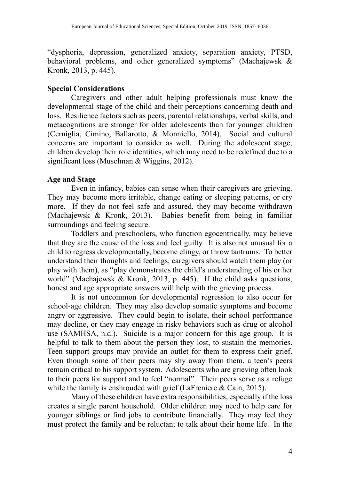"dysphoria, depression, generalized anxiety, separation anxiety, PTSD, behavioral problems, and other generalized symptoms" (Machaiewsk & Kronk, 2013, p. 445).

# **Special Considerations**

Caregivers and other adult helping professionals must know the developmental stage of the child and their perceptions concerning death and loss. Resilience factors such as peers, parental relationships, verbal skills, and metacognitions are stronger for older adolescents than for younger children (Cerniglia, Cimino, Ballarotto, & Monniello, 2014). Social and cultural concerns are important to consider as well. During the adolescent stage, children develop their role identities, which may need to be redefined due to a significant loss (Muselman & Wiggins, 2012).

# **Age and Stage**

Even in infancy, babies can sense when their caregivers are grieving. They may become more irritable, change eating or sleeping patterns, or cry more. If they do not feel safe and assured, they may become withdrawn (Machajewsk & Kronk, 2013). Babies benefit from being in familiar surroundings and feeling secure.

Toddlers and preschoolers, who function egocentrically, may believe that they are the cause of the loss and feel guilty. It is also not unusual for a child to regress developmentally, become clingy, or throw tantrums. To better understand their thoughts and feelings, caregivers should watch them play (or play with them), as "play demonstrates the child's understanding of his or her world" (Machajewsk & Kronk, 2013, p. 445). If the child asks questions, honest and age appropriate answers will help with the grieving process.

It is not uncommon for developmental regression to also occur for school-age children. They may also develop somatic symptoms and become angry or aggressive. They could begin to isolate, their school performance may decline, or they may engage in risky behaviors such as drug or alcohol use (SAMHSA, n.d.). Suicide is a major concern for this age group. It is helpful to talk to them about the person they lost, to sustain the memories. Teen support groups may provide an outlet for them to express their grief. Even though some of their peers may shy away from them, a teen's peers remain critical to his support system. Adolescents who are grieving often look to their peers for support and to feel "normal". Their peers serve as a refuge while the family is enshrouded with grief (LaFreniere & Cain, 2015).

Many of these children have extra responsibilities, especially if the loss creates a single parent household. Older children may need to help care for younger siblings or find jobs to contribute financially. They may feel they must protect the family and be reluctant to talk about their home life. In the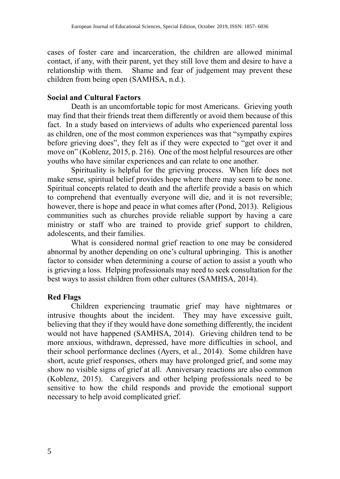cases of foster care and incarceration, the children are allowed minimal contact, if any, with their parent, yet they still love them and desire to have a relationship with them. Shame and fear of judgement may prevent these children from being open (SAMHSA, n.d.).

# **Social and Cultural Factors**

Death is an uncomfortable topic for most Americans. Grieving youth may find that their friends treat them differently or avoid them because of this fact. In a study based on interviews of adults who experienced parental loss as children, one of the most common experiences was that "sympathy expires before grieving does", they felt as if they were expected to "get over it and move on" (Koblenz, 2015, p. 216). One of the most helpful resources are other youths who have similar experiences and can relate to one another.

Spirituality is helpful for the grieving process. When life does not make sense, spiritual belief provides hope where there may seem to be none. Spiritual concepts related to death and the afterlife provide a basis on which to comprehend that eventually everyone will die, and it is not reversible; however, there is hope and peace in what comes after (Pond, 2013). Religious communities such as churches provide reliable support by having a care ministry or staff who are trained to provide grief support to children, adolescents, and their families.

What is considered normal grief reaction to one may be considered abnormal by another depending on one's cultural upbringing. This is another factor to consider when determining a course of action to assist a youth who is grieving a loss. Helping professionals may need to seek consultation for the best ways to assist children from other cultures (SAMHSA, 2014).

# **Red Flags**

Children experiencing traumatic grief may have nightmares or intrusive thoughts about the incident. They may have excessive guilt, believing that they if they would have done something differently, the incident would not have happened (SAMHSA, 2014). Grieving children tend to be more anxious, withdrawn, depressed, have more difficulties in school, and their school performance declines (Ayers, et al., 2014). Some children have short, acute grief responses, others may have prolonged grief, and some may show no visible signs of grief at all. Anniversary reactions are also common (Koblenz, 2015). Caregivers and other helping professionals need to be sensitive to how the child responds and provide the emotional support necessary to help avoid complicated grief.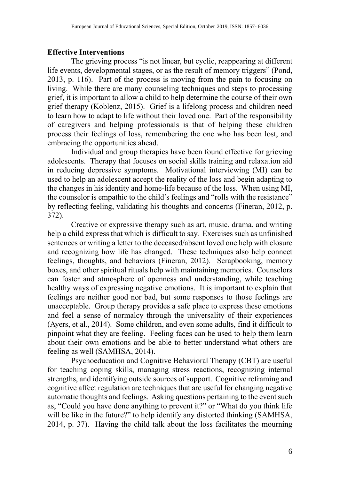#### **Effective Interventions**

The grieving process "is not linear, but cyclic, reappearing at different life events, developmental stages, or as the result of memory triggers" (Pond, 2013, p. 116). Part of the process is moving from the pain to focusing on living. While there are many counseling techniques and steps to processing grief, it is important to allow a child to help determine the course of their own grief therapy (Koblenz, 2015). Grief is a lifelong process and children need to learn how to adapt to life without their loved one. Part of the responsibility of caregivers and helping professionals is that of helping these children process their feelings of loss, remembering the one who has been lost, and embracing the opportunities ahead.

Individual and group therapies have been found effective for grieving adolescents. Therapy that focuses on social skills training and relaxation aid in reducing depressive symptoms. Motivational interviewing (MI) can be used to help an adolescent accept the reality of the loss and begin adapting to the changes in his identity and home-life because of the loss. When using MI, the counselor is empathic to the child's feelings and "rolls with the resistance" by reflecting feeling, validating his thoughts and concerns (Fineran, 2012, p. 372).

Creative or expressive therapy such as art, music, drama, and writing help a child express that which is difficult to say. Exercises such as unfinished sentences or writing a letter to the deceased/absent loved one help with closure and recognizing how life has changed. These techniques also help connect feelings, thoughts, and behaviors (Fineran, 2012). Scrapbooking, memory boxes, and other spiritual rituals help with maintaining memories. Counselors can foster and atmosphere of openness and understanding, while teaching healthy ways of expressing negative emotions. It is important to explain that feelings are neither good nor bad, but some responses to those feelings are unacceptable. Group therapy provides a safe place to express these emotions and feel a sense of normalcy through the universality of their experiences (Ayers, et al., 2014). Some children, and even some adults, find it difficult to pinpoint what they are feeling. Feeling faces can be used to help them learn about their own emotions and be able to better understand what others are feeling as well (SAMHSA, 2014).

Psychoeducation and Cognitive Behavioral Therapy (CBT) are useful for teaching coping skills, managing stress reactions, recognizing internal strengths, and identifying outside sources of support. Cognitive reframing and cognitive affect regulation are techniques that are useful for changing negative automatic thoughts and feelings. Asking questions pertaining to the event such as, "Could you have done anything to prevent it?" or "What do you think life will be like in the future?" to help identify any distorted thinking (SAMHSA, 2014, p. 37). Having the child talk about the loss facilitates the mourning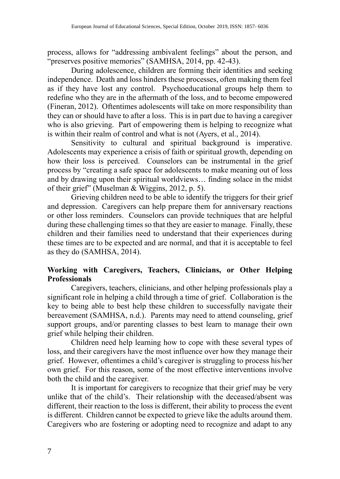process, allows for "addressing ambivalent feelings" about the person, and "preserves positive memories" (SAMHSA, 2014, pp. 42-43).

During adolescence, children are forming their identities and seeking independence. Death and loss hinders these processes, often making them feel as if they have lost any control. Psychoeducational groups help them to redefine who they are in the aftermath of the loss, and to become empowered (Fineran, 2012). Oftentimes adolescents will take on more responsibility than they can or should have to after a loss. This is in part due to having a caregiver who is also grieving. Part of empowering them is helping to recognize what is within their realm of control and what is not (Ayers, et al., 2014).

Sensitivity to cultural and spiritual background is imperative. Adolescents may experience a crisis of faith or spiritual growth, depending on how their loss is perceived. Counselors can be instrumental in the grief process by "creating a safe space for adolescents to make meaning out of loss and by drawing upon their spiritual worldviews… finding solace in the midst of their grief" (Muselman & Wiggins, 2012, p. 5).

Grieving children need to be able to identify the triggers for their grief and depression. Caregivers can help prepare them for anniversary reactions or other loss reminders. Counselors can provide techniques that are helpful during these challenging times so that they are easier to manage. Finally, these children and their families need to understand that their experiences during these times are to be expected and are normal, and that it is acceptable to feel as they do (SAMHSA, 2014).

# **Working with Caregivers, Teachers, Clinicians, or Other Helping Professionals**

Caregivers, teachers, clinicians, and other helping professionals play a significant role in helping a child through a time of grief. Collaboration is the key to being able to best help these children to successfully navigate their bereavement (SAMHSA, n.d.). Parents may need to attend counseling, grief support groups, and/or parenting classes to best learn to manage their own grief while helping their children.

Children need help learning how to cope with these several types of loss, and their caregivers have the most influence over how they manage their grief. However, oftentimes a child's caregiver is struggling to process his/her own grief. For this reason, some of the most effective interventions involve both the child and the caregiver.

It is important for caregivers to recognize that their grief may be very unlike that of the child's. Their relationship with the deceased/absent was different, their reaction to the loss is different, their ability to process the event is different. Children cannot be expected to grieve like the adults around them. Caregivers who are fostering or adopting need to recognize and adapt to any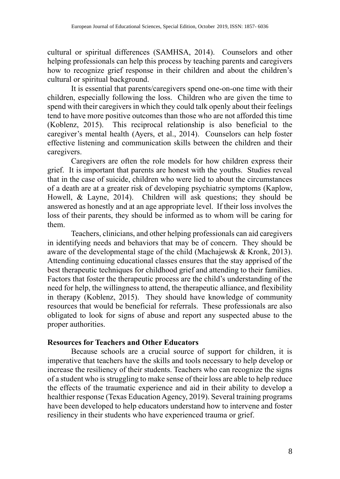cultural or spiritual differences (SAMHSA, 2014). Counselors and other helping professionals can help this process by teaching parents and caregivers how to recognize grief response in their children and about the children's cultural or spiritual background.

It is essential that parents/caregivers spend one-on-one time with their children, especially following the loss. Children who are given the time to spend with their caregivers in which they could talk openly about their feelings tend to have more positive outcomes than those who are not afforded this time (Koblenz, 2015). This reciprocal relationship is also beneficial to the caregiver's mental health (Ayers, et al., 2014). Counselors can help foster effective listening and communication skills between the children and their caregivers.

Caregivers are often the role models for how children express their grief. It is important that parents are honest with the youths. Studies reveal that in the case of suicide, children who were lied to about the circumstances of a death are at a greater risk of developing psychiatric symptoms (Kaplow, Howell, & Layne, 2014). Children will ask questions; they should be answered as honestly and at an age appropriate level. If their loss involves the loss of their parents, they should be informed as to whom will be caring for them.

Teachers, clinicians, and other helping professionals can aid caregivers in identifying needs and behaviors that may be of concern. They should be aware of the developmental stage of the child (Machajewsk & Kronk, 2013). Attending continuing educational classes ensures that the stay apprised of the best therapeutic techniques for childhood grief and attending to their families. Factors that foster the therapeutic process are the child's understanding of the need for help, the willingness to attend, the therapeutic alliance, and flexibility in therapy (Koblenz, 2015). They should have knowledge of community resources that would be beneficial for referrals. These professionals are also obligated to look for signs of abuse and report any suspected abuse to the proper authorities.

#### **Resources for Teachers and Other Educators**

Because schools are a crucial source of support for children, it is imperative that teachers have the skills and tools necessary to help develop or increase the resiliency of their students. Teachers who can recognize the signs of a student who is struggling to make sense of their loss are able to help reduce the effects of the traumatic experience and aid in their ability to develop a healthier response (Texas Education Agency, 2019). Several training programs have been developed to help educators understand how to intervene and foster resiliency in their students who have experienced trauma or grief.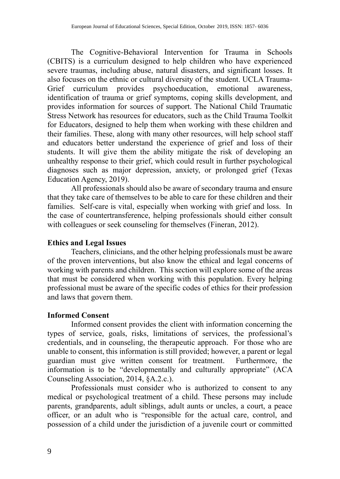The Cognitive-Behavioral Intervention for Trauma in Schools (CBITS) is a curriculum designed to help children who have experienced severe traumas, including abuse, natural disasters, and significant losses. It also focuses on the ethnic or cultural diversity of the student. UCLA Trauma-Grief curriculum provides psychoeducation, emotional awareness, identification of trauma or grief symptoms, coping skills development, and provides information for sources of support. The National Child Traumatic Stress Network has resources for educators, such as the Child Trauma Toolkit for Educators, designed to help them when working with these children and their families. These, along with many other resources, will help school staff and educators better understand the experience of grief and loss of their students. It will give them the ability mitigate the risk of developing an unhealthy response to their grief, which could result in further psychological diagnoses such as major depression, anxiety, or prolonged grief (Texas Education Agency, 2019).

All professionals should also be aware of secondary trauma and ensure that they take care of themselves to be able to care for these children and their families. Self-care is vital, especially when working with grief and loss. In the case of countertransference, helping professionals should either consult with colleagues or seek counseling for themselves (Fineran, 2012).

## **Ethics and Legal Issues**

Teachers, clinicians, and the other helping professionals must be aware of the proven interventions, but also know the ethical and legal concerns of working with parents and children. This section will explore some of the areas that must be considered when working with this population. Every helping professional must be aware of the specific codes of ethics for their profession and laws that govern them.

## **Informed Consent**

Informed consent provides the client with information concerning the types of service, goals, risks, limitations of services, the professional's credentials, and in counseling, the therapeutic approach. For those who are unable to consent, this information is still provided; however, a parent or legal guardian must give written consent for treatment. Furthermore, the information is to be "developmentally and culturally appropriate" (ACA Counseling Association, 2014, §A.2.c.).

Professionals must consider who is authorized to consent to any medical or psychological treatment of a child. These persons may include parents, grandparents, adult siblings, adult aunts or uncles, a court, a peace officer, or an adult who is "responsible for the actual care, control, and possession of a child under the jurisdiction of a juvenile court or committed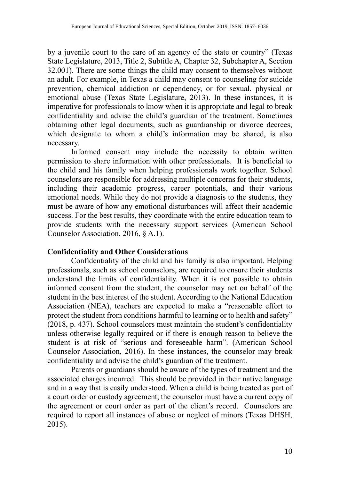by a juvenile court to the care of an agency of the state or country" (Texas State Legislature, 2013, Title 2, Subtitle A, Chapter 32, Subchapter A, Section 32.001). There are some things the child may consent to themselves without an adult. For example, in Texas a child may consent to counseling for suicide prevention, chemical addiction or dependency, or for sexual, physical or emotional abuse (Texas State Legislature, 2013). In these instances, it is imperative for professionals to know when it is appropriate and legal to break confidentiality and advise the child's guardian of the treatment. Sometimes obtaining other legal documents, such as guardianship or divorce decrees, which designate to whom a child's information may be shared, is also necessary.

Informed consent may include the necessity to obtain written permission to share information with other professionals. It is beneficial to the child and his family when helping professionals work together. School counselors are responsible for addressing multiple concerns for their students, including their academic progress, career potentials, and their various emotional needs. While they do not provide a diagnosis to the students, they must be aware of how any emotional disturbances will affect their academic success. For the best results, they coordinate with the entire education team to provide students with the necessary support services (American School Counselor Association, 2016, § A.1).

## **Confidentiality and Other Considerations**

Confidentiality of the child and his family is also important. Helping professionals, such as school counselors, are required to ensure their students understand the limits of confidentiality. When it is not possible to obtain informed consent from the student, the counselor may act on behalf of the student in the best interest of the student. According to the National Education Association (NEA), teachers are expected to make a "reasonable effort to protect the student from conditions harmful to learning or to health and safety" (2018, p. 437). School counselors must maintain the student's confidentiality unless otherwise legally required or if there is enough reason to believe the student is at risk of "serious and foreseeable harm". (American School Counselor Association, 2016). In these instances, the counselor may break confidentiality and advise the child's guardian of the treatment.

Parents or guardians should be aware of the types of treatment and the associated charges incurred. This should be provided in their native language and in a way that is easily understood. When a child is being treated as part of a court order or custody agreement, the counselor must have a current copy of the agreement or court order as part of the client's record. Counselors are required to report all instances of abuse or neglect of minors (Texas DHSH, 2015).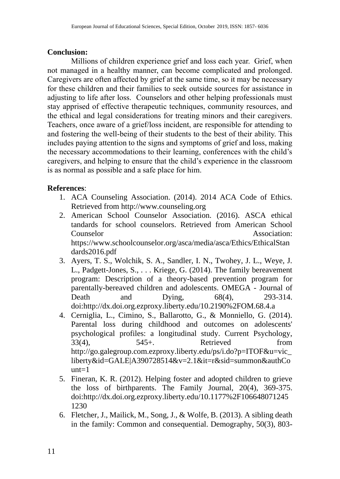# **Conclusion:**

Millions of children experience grief and loss each year. Grief, when not managed in a healthy manner, can become complicated and prolonged. Caregivers are often affected by grief at the same time, so it may be necessary for these children and their families to seek outside sources for assistance in adjusting to life after loss. Counselors and other helping professionals must stay apprised of effective therapeutic techniques, community resources, and the ethical and legal considerations for treating minors and their caregivers. Teachers, once aware of a grief/loss incident, are responsible for attending to and fostering the well-being of their students to the best of their ability. This includes paying attention to the signs and symptoms of grief and loss, making the necessary accommodations to their learning, conferences with the child's caregivers, and helping to ensure that the child's experience in the classroom is as normal as possible and a safe place for him.

# **References**:

- 1. ACA Counseling Association. (2014). 2014 ACA Code of Ethics. Retrieved from http://www.counseling.org
- 2. American School Counselor Association. (2016). ASCA ethical tandards for school counselors. Retrieved from American School Counselor Association: https://www.schoolcounselor.org/asca/media/asca/Ethics/EthicalStan dards2016.pdf
- 3. Ayers, T. S., Wolchik, S. A., Sandler, I. N., Twohey, J. L., Weye, J. L., Padgett-Jones, S., . . . Kriege, G. (2014). The family bereavement program: Description of a theory-based prevention program for parentally-bereaved children and adolescents. OMEGA - Journal of Death and Dying, 68(4), 293-314. doi:http://dx.doi.org.ezproxy.liberty.edu/10.2190%2FOM.68.4.a
- 4. Cerniglia, L., Cimino, S., Ballarotto, G., & Monniello, G. (2014). Parental loss during childhood and outcomes on adolescents' psychological profiles: a longitudinal study. Current Psychology,  $33(4)$ ,  $545+$ . Retrieved from http://go.galegroup.com.ezproxy.liberty.edu/ps/i.do?p=ITOF&u=vic\_ liberty&id=GALE|A390728514&v=2.1&it=r&sid=summon&authCo  $nnt=1$
- 5. Fineran, K. R. (2012). Helping foster and adopted children to grieve the loss of birthparents. The Family Journal, 20(4), 369-375. doi:http://dx.doi.org.ezproxy.liberty.edu/10.1177%2F106648071245 1230
- 6. Fletcher, J., Mailick, M., Song, J., & Wolfe, B. (2013). A sibling death in the family: Common and consequential. Demography, 50(3), 803-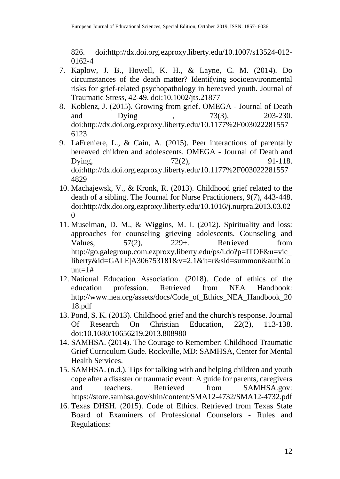826. doi:http://dx.doi.org.ezproxy.liberty.edu/10.1007/s13524-012- 0162-4

- 7. Kaplow, J. B., Howell, K. H., & Layne, C. M. (2014). Do circumstances of the death matter? Identifying socioenvironmental risks for grief-related psychopathology in bereaved youth. Journal of Traumatic Stress, 42-49. doi:10.1002/jts.21877
- 8. Koblenz, J. (2015). Growing from grief. OMEGA Journal of Death<br>and Dying 73(3), 203-230. and Dying , 73(3), 203-230. doi:http://dx.doi.org.ezproxy.liberty.edu/10.1177%2F003022281557 6123
- 9. LaFreniere, L., & Cain, A. (2015). Peer interactions of parentally bereaved children and adolescents. OMEGA - Journal of Death and Dying, 22(2), 91-118. doi:http://dx.doi.org.ezproxy.liberty.edu/10.1177%2F003022281557 4829
- 10. Machajewsk, V., & Kronk, R. (2013). Childhood grief related to the death of a sibling. The Journal for Nurse Practitioners, 9(7), 443-448. doi:http://dx.doi.org.ezproxy.liberty.edu/10.1016/j.nurpra.2013.03.02  $\Omega$
- 11. Muselman, D. M., & Wiggins, M. I. (2012). Spirituality and loss: approaches for counseling grieving adolescents. Counseling and Values,  $57(2)$ ,  $229+$ . Retrieved from http://go.galegroup.com.ezproxy.liberty.edu/ps/i.do?p=ITOF&u=vic\_ liberty&id=GALE|A306753181&v=2.1&it=r&sid=summon&authCo  $unt=1#$
- 12. National Education Association. (2018). Code of ethics of the education profession. Retrieved from NEA Handbook: http://www.nea.org/assets/docs/Code\_of\_Ethics\_NEA\_Handbook\_20 18.pdf
- 13. Pond, S. K. (2013). Childhood grief and the church's response. Journal<br>Of Research On Christian Education, 22(2). 113-138. Of Research On Christian Education, 22(2), 113-138. doi:10.1080/10656219.2013.808980
- 14. SAMHSA. (2014). The Courage to Remember: Childhood Traumatic Grief Curriculum Gude. Rockville, MD: SAMHSA, Center for Mental Health Services.
- 15. SAMHSA. (n.d.). Tips for talking with and helping children and youth cope after a disaster or traumatic event: A guide for parents, caregivers and teachers. Retrieved from SAMHSA.gov: https://store.samhsa.gov/shin/content/SMA12-4732/SMA12-4732.pdf
- 16. Texas DHSH. (2015). Code of Ethics. Retrieved from Texas State Board of Examiners of Professional Counselors - Rules and Regulations: